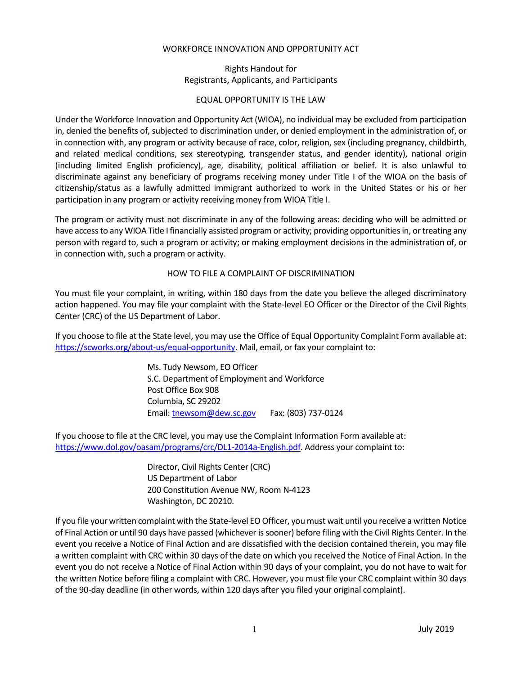### WORKFORCE INNOVATION AND OPPORTUNITY ACT

# Rights Handout for Registrants, Applicants, and Participants

### EQUAL OPPORTUNITY IS THE LAW

Under the Workforce Innovation and Opportunity Act (WIOA), no individual may be excluded from participation in, denied the benefits of, subjected to discrimination under, or denied employment in the administration of, or in connection with, any program or activity because of race, color, religion, sex (including pregnancy, childbirth, and related medical conditions, sex stereotyping, transgender status, and gender identity), national origin (including limited English proficiency), age, disability, political affiliation or belief. It is also unlawful to discriminate against any beneficiary of programs receiving money under Title I of the WIOA on the basis of citizenship/status as a lawfully admitted immigrant authorized to work in the United States or his or her participation in any program or activity receiving money from WIOA Title I.

The program or activity must not discriminate in any of the following areas: deciding who will be admitted or have access to any WIOA Title I financially assisted program or activity; providing opportunities in, or treating any person with regard to, such a program or activity; or making employment decisions in the administration of, or in connection with, such a program or activity.

## HOW TO FILE A COMPLAINT OF DISCRIMINATION

You must file your complaint, in writing, within 180 days from the date you believe the alleged discriminatory action happened. You may file your complaint with the State-level EO Officer or the Director of the Civil Rights Center (CRC) of the US Department of Labor.

If you choose to file at the State level, you may use the Office of Equal Opportunity Complaint Form available at: [https://scworks.org/about-us/equal-opportunity.](https://scworks.org/about-us/equal-opportunity) Mail, email, or fax your complaint to:

> Ms. Tudy Newsom, EO Officer S.C. Department of Employment and Workforce Post Office Box 908 Columbia, SC 29202 Email[: tnewsom@dew.sc.gov](mailto:tnewsom@dew.sc.gov) Fax: (803) 737-0124

If you choose to file at the CRC level, you may use the Complaint Information Form available at: [https://www.dol.gov/oasam/programs/crc/DL1-2014a-English.pdf.](https://www.dol.gov/oasam/programs/crc/DL1-2014a-English.pdf) Address your complaint to:

> Director, Civil Rights Center (CRC) US Department of Labor 200 Constitution Avenue NW, Room N-4123 Washington, DC 20210.

If you file your written complaint with the State-level EO Officer, you must wait until you receive a written Notice of Final Action or until 90 days have passed (whichever is sooner) before filing with the Civil Rights Center. In the event you receive a Notice of Final Action and are dissatisfied with the decision contained therein, you may file a written complaint with CRC within 30 days of the date on which you received the Notice of Final Action. In the event you do not receive a Notice of Final Action within 90 days of your complaint, you do not have to wait for the written Notice before filing a complaint with CRC. However, you must file your CRC complaint within 30 days of the 90-day deadline (in other words, within 120 days after you filed your original complaint).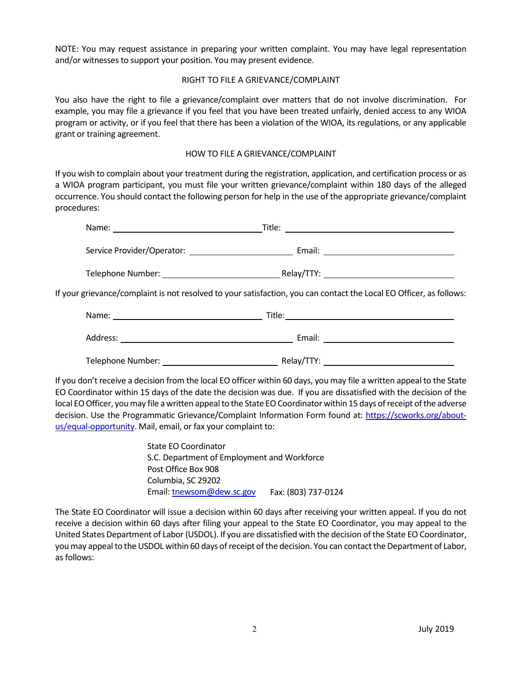NOTE: You may request assistance in preparing your written complaint. You may have legal representation and/or witnesses to support your position. You may present evidence.

### RIGHT TO FILE A GRIEVANCE/COMPLAINT

You also have the right to file a grievance/complaint over matters that do not involve discrimination. For example, you may file a grievance if you feel that you have been treated unfairly, denied access to any WIOA program or activity, or if you feel that there has been a violation of the WIOA, its regulations, or any applicable grant or training agreement.

### HOW TO FILE A GRIEVANCE/COMPLAINT

If you wish to complain about your treatment during the registration, application, and certification process or as a WIOA program participant, you must file your written grievance/complaint within 180 days of the alleged occurrence. You should contact the following person for help in the use of the appropriate grievance/complaint procedures:

| Telephone Number: Telephone Number:                                                                                 |  |
|---------------------------------------------------------------------------------------------------------------------|--|
| If your grievance/complaint is not resolved to your satisfaction, you can contact the Local EO Officer, as follows: |  |

| Name:             | Title:     |  |
|-------------------|------------|--|
| Address:          | Email:     |  |
| Telephone Number: | Relay/TTY: |  |

If you don't receive a decision from the local EO officer within 60 days, you may file a written appeal to the State EO Coordinator within 15 days of the date the decision was due. If you are dissatisfied with the decision of the local EO Officer, you may file a written appeal to the State EO Coordinator within 15 days of receipt of the adverse decision. Use the Programmatic Grievance/Complaint Information Form found at: [https://scworks.org/about](https://scworks.org/about-us/equal-opportunity)[us/equal-opportunity.](https://scworks.org/about-us/equal-opportunity) Mail, email, or fax your complaint to:

> State EO Coordinator S.C. Department of Employment and Workforce Post Office Box 908 Columbia, SC 29202 Email[: tnewsom@dew.sc.gov](mailto:tnewsom@dew.sc.gov) Fax: (803) 737-0124

The State EO Coordinator will issue a decision within 60 days after receiving your written appeal. If you do not receive a decision within 60 days after filing your appeal to the State EO Coordinator, you may appeal to the United States Department of Labor(USDOL). If you are dissatisfied with the decision of the State EO Coordinator, you may appeal to the USDOL within 60 days of receipt of the decision. You can contact the Department of Labor, as follows: